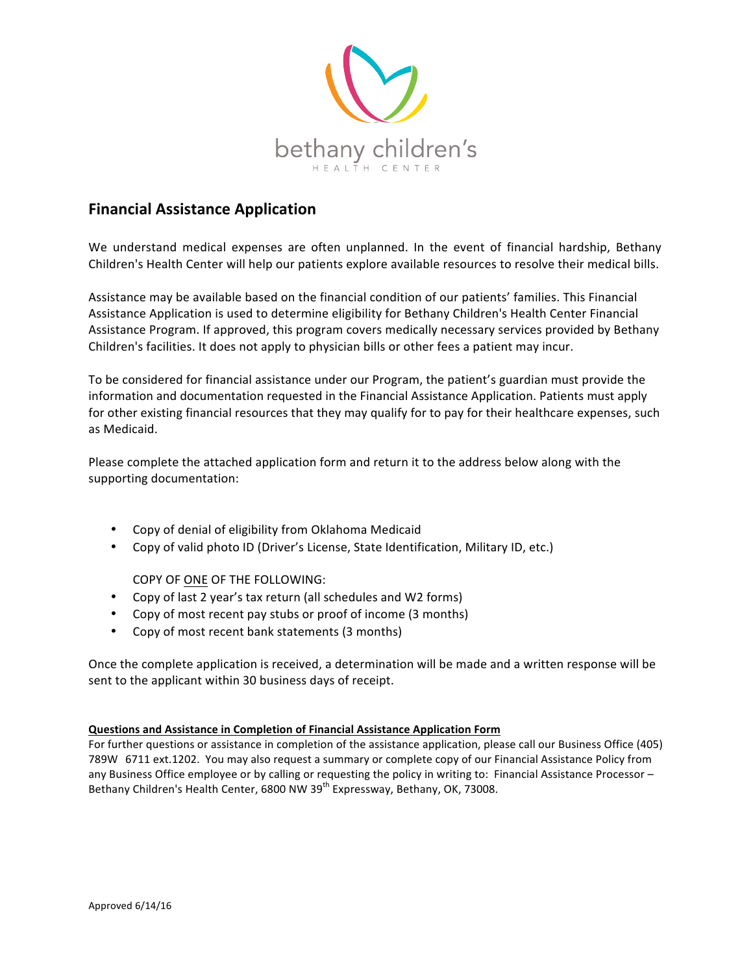

## **Financial Assistance Application**

We understand medical expenses are often unplanned. In the event of financial hardship, Bethany Children's Health Center will help our patients explore available resources to resolve their medical bills.

Assistance may be available based on the financial condition of our patients' families. This Financial Assistance Application is used to determine eligibility for Bethany Children's Health Center Financial Assistance Program. If approved, this program covers medically necessary services provided by Bethany Children's facilities. It does not apply to physician bills or other fees a patient may incur.

To be considered for financial assistance under our Program, the patient's guardian must provide the information and documentation requested in the Financial Assistance Application. Patients must apply for other existing financial resources that they may qualify for to pay for their healthcare expenses, such as Medicaid. 

Please complete the attached application form and return it to the address below along with the supporting documentation:

- Copy of denial of eligibility from Oklahoma Medicaid
- Copy of valid photo ID (Driver's License, State Identification, Military ID, etc.)

COPY OF ONE OF THE FOLLOWING:

- Copy of last 2 year's tax return (all schedules and W2 forms)
- Copy of most recent pay stubs or proof of income (3 months)
- Copy of most recent bank statements (3 months)

Once the complete application is received, a determination will be made and a written response will be sent to the applicant within 30 business days of receipt.

## **Questions and Assistance in Completion of Financial Assistance Application Form**

For further questions or assistance in completion of the assistance application, please call our Business Office (405) 789W 6711 ext.1202. You may also request a summary or complete copy of our Financial Assistance Policy from any Business Office employee or by calling or requesting the policy in writing to: Financial Assistance Processor -Bethany Children's Health Center, 6800 NW 39<sup>th</sup> Expressway, Bethany, OK, 73008.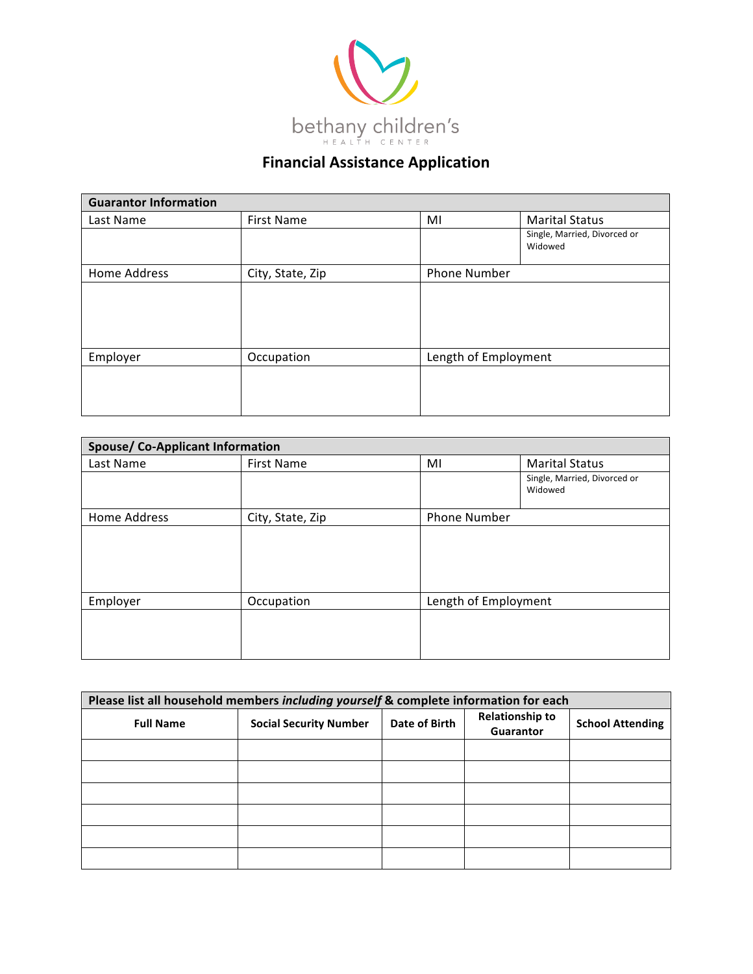

## **Financial Assistance Application**

| <b>Guarantor Information</b> |                   |    |                                         |  |
|------------------------------|-------------------|----|-----------------------------------------|--|
| Last Name                    | <b>First Name</b> | MI | <b>Marital Status</b>                   |  |
|                              |                   |    | Single, Married, Divorced or<br>Widowed |  |
| Home Address                 | City, State, Zip  |    | Phone Number                            |  |
|                              |                   |    |                                         |  |
| Employer                     | Occupation        |    | Length of Employment                    |  |
|                              |                   |    |                                         |  |

| <b>Spouse/ Co-Applicant Information</b> |                  |                      |                                         |  |
|-----------------------------------------|------------------|----------------------|-----------------------------------------|--|
| Last Name                               | First Name       | MI                   | <b>Marital Status</b>                   |  |
|                                         |                  |                      | Single, Married, Divorced or<br>Widowed |  |
| Home Address                            | City, State, Zip | <b>Phone Number</b>  |                                         |  |
|                                         |                  |                      |                                         |  |
| Employer                                | Occupation       | Length of Employment |                                         |  |
|                                         |                  |                      |                                         |  |

| Please list all household members including yourself & complete information for each |                               |               |                                     |                         |
|--------------------------------------------------------------------------------------|-------------------------------|---------------|-------------------------------------|-------------------------|
| <b>Full Name</b>                                                                     | <b>Social Security Number</b> | Date of Birth | <b>Relationship to</b><br>Guarantor | <b>School Attending</b> |
|                                                                                      |                               |               |                                     |                         |
|                                                                                      |                               |               |                                     |                         |
|                                                                                      |                               |               |                                     |                         |
|                                                                                      |                               |               |                                     |                         |
|                                                                                      |                               |               |                                     |                         |
|                                                                                      |                               |               |                                     |                         |